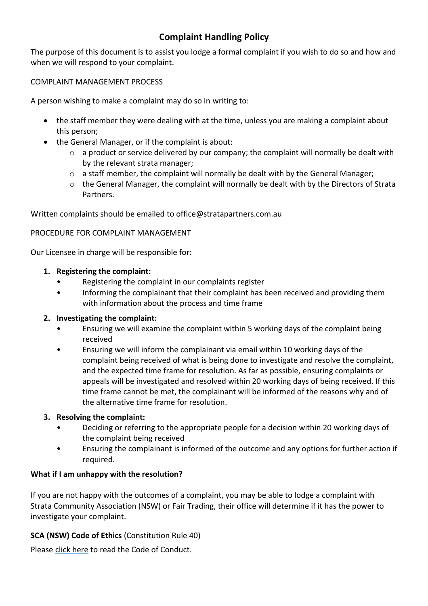# **Complaint Handling Policy**

The purpose of this document is to assist you lodge a formal complaint if you wish to do so and how and when we will respond to your complaint.

# COMPLAINT MANAGEMENT PROCESS

A person wishing to make a complaint may do so in writing to:

- the staff member they were dealing with at the time, unless you are making a complaint about this person;
- the General Manager, or if the complaint is about:
	- $\circ$  a product or service delivered by our company; the complaint will normally be dealt with by the relevant strata manager;
	- $\circ$  a staff member, the complaint will normally be dealt with by the General Manager;
	- o the General Manager, the complaint will normally be dealt with by the Directors of Strata Partners.

Written complaints should be emailed to office@stratapartners.com.au

## PROCEDURE FOR COMPLAINT MANAGEMENT

Our Licensee in charge will be responsible for:

## **1. Registering the complaint:**

- Registering the complaint in our complaints register
- Informing the complainant that their complaint has been received and providing them with information about the process and time frame

#### **2. Investigating the complaint:**

- Ensuring we will examine the complaint within 5 working days of the complaint being received
- Ensuring we will inform the complainant via email within 10 working days of the complaint being received of what is being done to investigate and resolve the complaint, and the expected time frame for resolution. As far as possible, ensuring complaints or appeals will be investigated and resolved within 20 working days of being received. If this time frame cannot be met, the complainant will be informed of the reasons why and of the alternative time frame for resolution.

#### **3. Resolving the complaint:**

- Deciding or referring to the appropriate people for a decision within 20 working days of the complaint being received
- Ensuring the complainant is informed of the outcome and any options for further action if required.

# **What if I am unhappy with the resolution?**

If you are not happy with the outcomes of a complaint, you may be able to lodge a complaint with Strata Community Association (NSW) or Fair Trading, their office will determine if it has the power to investigate your complaint.

# **SCA (NSW) Code of Ethics** (Constitution Rule 40)

Pleas[e click here](https://nsw.strata.community/code-of-ethics/) to read the Code of Conduct.